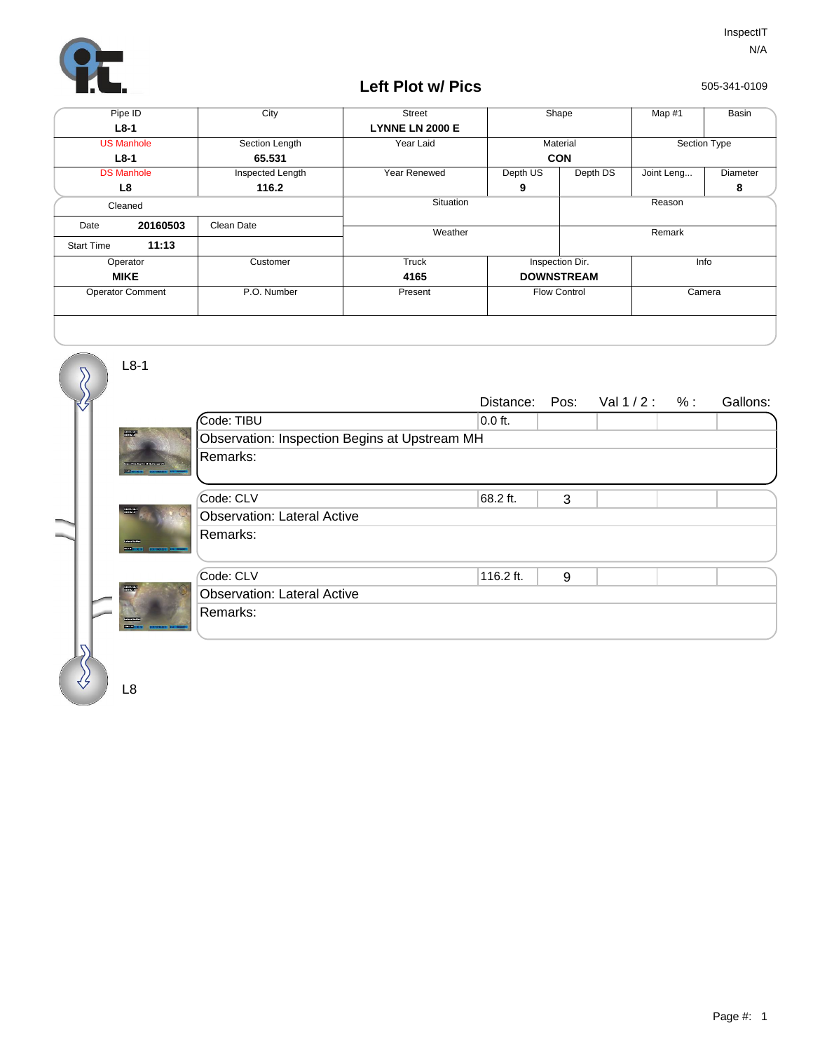

## **Left Plot w/ Pics**

505-341-0109

| Pipe ID                 |          | City             | <b>Street</b>          | Shape               |          | Map #1       | Basin    |
|-------------------------|----------|------------------|------------------------|---------------------|----------|--------------|----------|
| $L8-1$                  |          |                  | <b>LYNNE LN 2000 E</b> |                     |          |              |          |
| <b>US Manhole</b>       |          | Section Length   | Year Laid              | Material            |          | Section Type |          |
| $L8-1$                  |          | 65.531           |                        | <b>CON</b>          |          |              |          |
| <b>DS Manhole</b>       |          | Inspected Length | Year Renewed           | Depth US            | Depth DS | Joint Leng   | Diameter |
| L8                      |          | 116.2            |                        | 9                   |          |              | 8        |
| Cleaned                 |          |                  | Situation              |                     | Reason   |              |          |
| Date                    | 20160503 | Clean Date       | Weather                |                     |          | Remark       |          |
| <b>Start Time</b>       | 11:13    |                  |                        |                     |          |              |          |
| Operator                |          | Customer         | Truck                  | Inspection Dir.     |          | Info         |          |
| <b>MIKE</b>             |          |                  | 4165                   | <b>DOWNSTREAM</b>   |          |              |          |
| <b>Operator Comment</b> |          | P.O. Number      | Present                | <b>Flow Control</b> |          | Camera       |          |
|                         |          |                  |                        |                     |          |              |          |

Distance: Pos: Val 1 / 2 : % : Gallons: Code: TIBU Observation: Inspection Begins at Upstream MH  $\overline{0.0 \text{ ft.}}$ Remarks: Code: CLV 68.2 ft. 3 Observation: Lateral Active 68.2 ft. Remarks: Code: CLV 116.2 ft. 9 Observation: Lateral Active 116.2 ft. Remarks:

L8

L8-1